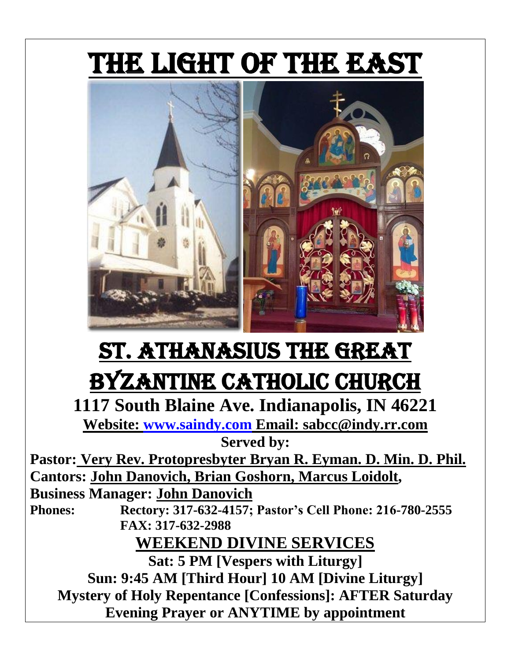

# St. Athanasius the Great Byzantine Catholic Church

**1117 South Blaine Ave. Indianapolis, IN 46221 Website: [www.saindy.com](http://www.saindy.com/) Email: sabcc@indy.rr.com**

**Served by:**

**Pastor: Very Rev. Protopresbyter Bryan R. Eyman. D. Min. D. Phil. Cantors: John Danovich, Brian Goshorn, Marcus Loidolt,** 

**Business Manager: John Danovich**

**Phones: Rectory: 317-632-4157; Pastor's Cell Phone: 216-780-2555 FAX: 317-632-2988**

**WEEKEND DIVINE SERVICES**

**Sat: 5 PM [Vespers with Liturgy] Sun: 9:45 AM [Third Hour] 10 AM [Divine Liturgy] Mystery of Holy Repentance [Confessions]: AFTER Saturday Evening Prayer or ANYTIME by appointment**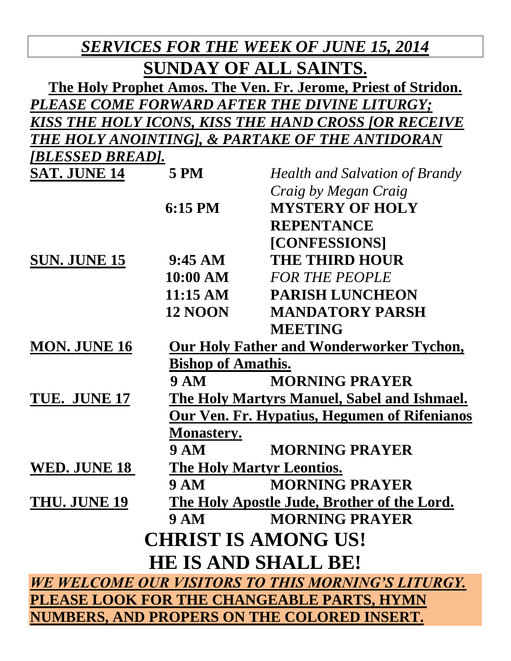| <b>SERVICES FOR THE WEEK OF JUNE 15, 2014</b>                  |                                                      |                                             |  |  |  |
|----------------------------------------------------------------|------------------------------------------------------|---------------------------------------------|--|--|--|
| SUNDAY OF ALL SAINTS.                                          |                                                      |                                             |  |  |  |
| The Holy Prophet Amos. The Ven. Fr. Jerome, Priest of Stridon. |                                                      |                                             |  |  |  |
| PLEASE COME FORWARD AFTER THE DIVINE LITURGY;                  |                                                      |                                             |  |  |  |
|                                                                | KISS THE HOLY ICONS, KISS THE HAND CROSS [OR RECEIVE |                                             |  |  |  |
|                                                                | THE HOLY ANOINTING], & PARTAKE OF THE ANTIDORAN      |                                             |  |  |  |
| [BLESSED BREAD].                                               |                                                      |                                             |  |  |  |
| <b>SAT. JUNE 14</b>                                            | <b>5 PM</b>                                          | <b>Health and Salvation of Brandy</b>       |  |  |  |
|                                                                |                                                      | Craig by Megan Craig                        |  |  |  |
|                                                                | $6:15$ PM                                            | <b>MYSTERY OF HOLY</b>                      |  |  |  |
|                                                                |                                                      | <b>REPENTANCE</b>                           |  |  |  |
|                                                                |                                                      | [CONFESSIONS]                               |  |  |  |
| <b>SUN. JUNE 15</b>                                            | $9:45 \text{ AM}$                                    | <b>THE THIRD HOUR</b>                       |  |  |  |
|                                                                | 10:00 AM                                             | <b>FOR THE PEOPLE</b>                       |  |  |  |
|                                                                | $11:15 \text{ AM}$                                   | <b>PARISH LUNCHEON</b>                      |  |  |  |
|                                                                | <b>12 NOON</b>                                       | <b>MANDATORY PARSH</b>                      |  |  |  |
|                                                                |                                                      | <b>MEETING</b>                              |  |  |  |
| <b>MON. JUNE 16</b>                                            |                                                      | Our Holy Father and Wonderworker Tychon,    |  |  |  |
|                                                                | <b>Bishop of Amathis.</b>                            |                                             |  |  |  |
|                                                                | <b>9 AM</b>                                          | <b>MORNING PRAYER</b>                       |  |  |  |
| TUE. JUNE 17                                                   | The Holy Martyrs Manuel, Sabel and Ishmael.          |                                             |  |  |  |
| Our Ven. Fr. Hypatius, Hegumen of Rifenianos                   |                                                      |                                             |  |  |  |
|                                                                | <b>Monastery.</b>                                    |                                             |  |  |  |
|                                                                | <b>9 AM</b>                                          | <b>MORNING PRAYER</b>                       |  |  |  |
| <b>WED. JUNE 18</b>                                            | The Holy Martyr Leontios.                            |                                             |  |  |  |
|                                                                | <b>9 AM</b>                                          | <b>MORNING PRAYER</b>                       |  |  |  |
| THU. JUNE 19                                                   |                                                      | The Holy Apostle Jude, Brother of the Lord. |  |  |  |
|                                                                | <b>9 AM</b>                                          | <b>MORNING PRAYER</b>                       |  |  |  |
| <b>CHRIST IS AMONG US!</b>                                     |                                                      |                                             |  |  |  |
| <b>HE IS AND SHALL BE!</b>                                     |                                                      |                                             |  |  |  |
| WE WELCOME OUR VISITORS TO THIS MORNING'S LITURGY.             |                                                      |                                             |  |  |  |
| PLEASE LOOK FOR THE CHANGEABLE PARTS, HYMN                     |                                                      |                                             |  |  |  |
| <b>NUMBERS, AND PROPERS ON THE COLORED INSERT.</b>             |                                                      |                                             |  |  |  |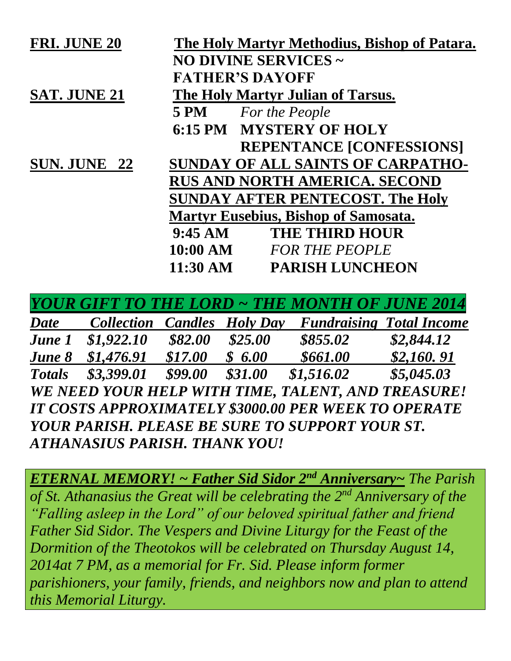| <b>FRI. JUNE 20</b> |                        | The Holy Martyr Methodius, Bishop of Patara. |  |
|---------------------|------------------------|----------------------------------------------|--|
|                     | NO DIVINE SERVICES ~   |                                              |  |
|                     | <b>FATHER'S DAYOFF</b> |                                              |  |
| <b>SAT. JUNE 21</b> |                        | The Holy Martyr Julian of Tarsus.            |  |
|                     | <b>5 PM</b>            | <b>For the People</b>                        |  |
|                     |                        | <b>6:15 PM MYSTERY OF HOLY</b>               |  |
|                     |                        | <b>REPENTANCE [CONFESSIONS]</b>              |  |
| SUN. JUNE 22        |                        | <b>SUNDAY OF ALL SAINTS OF CARPATHO-</b>     |  |
|                     |                        | <b>RUS AND NORTH AMERICA. SECOND</b>         |  |
|                     |                        | <b>SUNDAY AFTER PENTECOST. The Holy</b>      |  |
|                     |                        | <b>Martyr Eusebius, Bishop of Samosata.</b>  |  |
|                     | $9:45 \text{ AM}$      | <b>THE THIRD HOUR</b>                        |  |
|                     | $10:00~\mathrm{AM}$    | <b>FOR THE PEOPLE</b>                        |  |
|                     | $11:30 \text{ AM}$     | <b>PARISH LUNCHEON</b>                       |  |
|                     |                        |                                              |  |

*YOUR GIFT TO THE LORD ~ THE MONTH OF JUNE 2014*

*Date Collection Candles Holy Day Fundraising Total Income June 1 \$1,922.10 \$82.00 \$25.00 \$855.02 \$2,844.12 June 8* \$1,476.91 \$17.00 \$ 6.00 \$661.00 \$2,160.91 *Totals \$3,399.01 \$99.00 \$31.00 \$1,516.02 \$5,045.03 WE NEED YOUR HELP WITH TIME, TALENT, AND TREASURE! IT COSTS APPROXIMATELY \$3000.00 PER WEEK TO OPERATE YOUR PARISH. PLEASE BE SURE TO SUPPORT YOUR ST. ATHANASIUS PARISH. THANK YOU!*

*ETERNAL MEMORY! ~ Father Sid Sidor 2nd Anniversary~ The Parish of St. Athanasius the Great will be celebrating the 2nd Anniversary of the "Falling asleep in the Lord" of our beloved spiritual father and friend Father Sid Sidor. The Vespers and Divine Liturgy for the Feast of the Dormition of the Theotokos will be celebrated on Thursday August 14, 2014at 7 PM, as a memorial for Fr. Sid. Please inform former parishioners, your family, friends, and neighbors now and plan to attend this Memorial Liturgy.*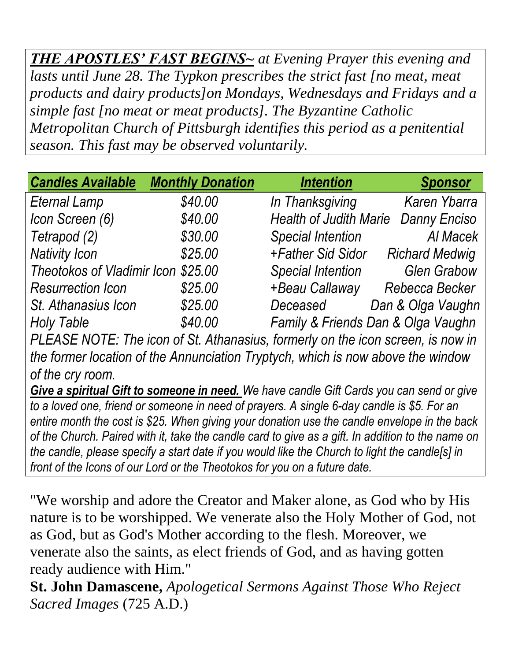*THE APOSTLES' FAST BEGINS~ at Evening Prayer this evening and lasts until June 28. The Typkon prescribes the strict fast [no meat, meat products and dairy products]on Mondays, Wednesdays and Fridays and a simple fast [no meat or meat products]. The Byzantine Catholic Metropolitan Church of Pittsburgh identifies this period as a penitential season. This fast may be observed voluntarily.*

| <b>Candles Available</b>           | <b>Monthly Donation</b> | <b>Intention</b>                   | <b>Sponsor</b>        |
|------------------------------------|-------------------------|------------------------------------|-----------------------|
| <b>Eternal Lamp</b>                | \$40.00                 | In Thanksgiving                    | <b>Karen Ybarra</b>   |
| Icon Screen (6)                    | \$40.00                 | <b>Health of Judith Marie</b>      | <b>Danny Enciso</b>   |
| Tetrapod (2)                       | \$30.00                 | <b>Special Intention</b>           | Al Macek              |
| <b>Nativity Icon</b>               | \$25.00                 | +Father Sid Sidor                  | <b>Richard Medwig</b> |
| Theotokos of Vladimir Icon \$25.00 |                         | <b>Special Intention</b>           | <b>Glen Grabow</b>    |
| <b>Resurrection Icon</b>           | \$25.00                 | +Beau Callaway                     | Rebecca Becker        |
| St. Athanasius Icon                | \$25.00                 | Deceased                           | Dan & Olga Vaughn     |
| <b>Holy Table</b>                  | \$40.00                 | Family & Friends Dan & Olga Vaughn |                       |

*PLEASE NOTE: The icon of St. Athanasius, formerly on the icon screen, is now in the former location of the Annunciation Tryptych, which is now above the window of the cry room.*

*Give a spiritual Gift to someone in need. We have candle Gift Cards you can send or give to a loved one, friend or someone in need of prayers. A single 6-day candle is \$5. For an entire month the cost is \$25. When giving your donation use the candle envelope in the back of the Church. Paired with it, take the candle card to give as a gift. In addition to the name on the candle, please specify a start date if you would like the Church to light the candle[s] in front of the Icons of our Lord or the Theotokos for you on a future date.*

"We worship and adore the Creator and Maker alone, as God who by His nature is to be worshipped. We venerate also the Holy Mother of God, not as God, but as God's Mother according to the flesh. Moreover, we venerate also the saints, as elect friends of God, and as having gotten ready audience with Him."

**St. John Damascene,** *Apologetical Sermons Against Those Who Reject Sacred Images* (725 A.D.)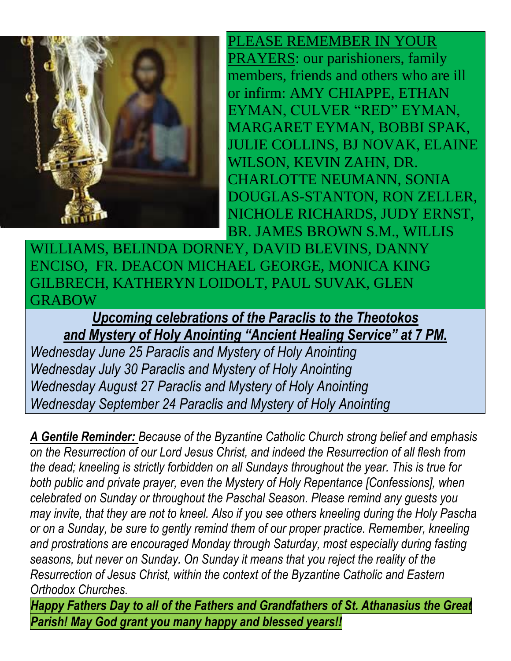

PLEASE REMEMBER IN YOUR PRAYERS: our parishioners, family members, friends and others who are ill or infirm: AMY CHIAPPE, ETHAN EYMAN, CULVER "RED" EYMAN, MARGARET EYMAN, BOBBI SPAK, JULIE COLLINS, BJ NOVAK, ELAINE WILSON, KEVIN ZAHN, DR. CHARLOTTE NEUMANN, SONIA DOUGLAS-STANTON, RON ZELLER, NICHOLE RICHARDS, JUDY ERNST, BR. JAMES BROWN S.M., WILLIS

WILLIAMS, BELINDA DORNEY, DAVID BLEVINS, DANNY ENCISO, FR. DEACON MICHAEL GEORGE, MONICA KING GILBRECH, KATHERYN LOIDOLT, PAUL SUVAK, GLEN GRABOW

*Upcoming celebrations of the Paraclis to the Theotokos and Mystery of Holy Anointing "Ancient Healing Service" at 7 PM.*

*Wednesday June 25 Paraclis and Mystery of Holy Anointing Wednesday July 30 Paraclis and Mystery of Holy Anointing Wednesday August 27 Paraclis and Mystery of Holy Anointing Wednesday September 24 Paraclis and Mystery of Holy Anointing*

*A Gentile Reminder: Because of the Byzantine Catholic Church strong belief and emphasis on the Resurrection of our Lord Jesus Christ, and indeed the Resurrection of all flesh from the dead; kneeling is strictly forbidden on all Sundays throughout the year. This is true for both public and private prayer, even the Mystery of Holy Repentance [Confessions], when celebrated on Sunday or throughout the Paschal Season. Please remind any guests you may invite, that they are not to kneel. Also if you see others kneeling during the Holy Pascha or on a Sunday, be sure to gently remind them of our proper practice. Remember, kneeling and prostrations are encouraged Monday through Saturday, most especially during fasting seasons, but never on Sunday. On Sunday it means that you reject the reality of the Resurrection of Jesus Christ, within the context of the Byzantine Catholic and Eastern Orthodox Churches.*

*Happy Fathers Day to all of the Fathers and Grandfathers of St. Athanasius the Great Parish! May God grant you many happy and blessed years!!*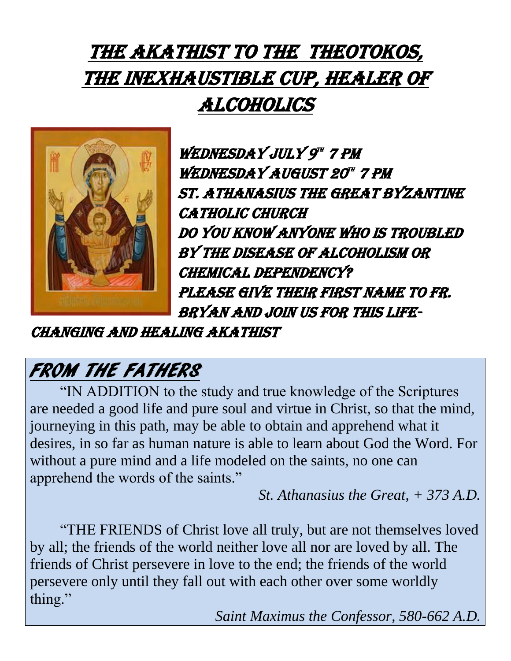# THE AKATHIST TO THE THEOTOKOS, the Inexhaustible Cup, Healer of Alcoholics



WEDNESDAY JULY 9" 7 PM WEDNESDAY AUGUST 20" 7 PM St. Athanasius the Great Byzantine **CATHOLIC CHURCH** Do you know anyone who is troubled by the disease of alcoholism or chemical dependency? Please give their first name to Fr. Bryan and join us for this life-

changing and healing Akathist

# FROM THE FATHERS

"IN ADDITION to the study and true knowledge of the Scriptures are needed a good life and pure soul and virtue in Christ, so that the mind, journeying in this path, may be able to obtain and apprehend what it desires, in so far as human nature is able to learn about God the Word. For without a pure mind and a life modeled on the saints, no one can apprehend the words of the saints."

*St. Athanasius the Great, + 373 A.D.*

"THE FRIENDS of Christ love all truly, but are not themselves loved by all; the friends of the world neither love all nor are loved by all. The friends of Christ persevere in love to the end; the friends of the world persevere only until they fall out with each other over some worldly thing."

*Saint Maximus the Confessor, 580-662 A.D.*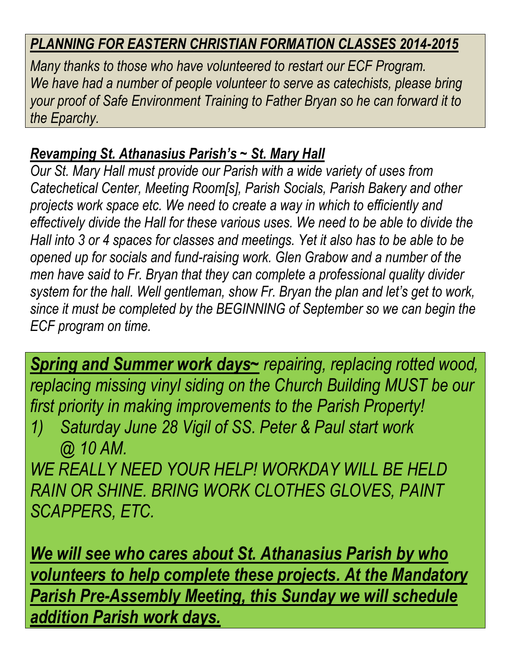#### *PLANNING FOR EASTERN CHRISTIAN FORMATION CLASSES 2014-2015*

*Many thanks to those who have volunteered to restart our ECF Program.* We have had a number of people volunteer to serve as catechists, please bring *your proof of Safe Environment Training to Father Bryan so he can forward it to the Eparchy.*

#### *Revamping St. Athanasius Parish's ~ St. Mary Hall*

*Our St. Mary Hall must provide our Parish with a wide variety of uses from Catechetical Center, Meeting Room[s], Parish Socials, Parish Bakery and other projects work space etc. We need to create a way in which to efficiently and effectively divide the Hall for these various uses. We need to be able to divide the Hall into 3 or 4 spaces for classes and meetings. Yet it also has to be able to be opened up for socials and fund-raising work. Glen Grabow and a number of the men have said to Fr. Bryan that they can complete a professional quality divider system for the hall. Well gentleman, show Fr. Bryan the plan and let's get to work, since it must be completed by the BEGINNING of September so we can begin the ECF program on time.*

*Spring and Summer work days~ repairing, replacing rotted wood, replacing missing vinyl siding on the Church Building MUST be our first priority in making improvements to the Parish Property!*

*1) Saturday June 28 Vigil of SS. Peter & Paul start work @ 10 AM.*

*WE REALLY NEED YOUR HELP! WORKDAY WILL BE HELD RAIN OR SHINE. BRING WORK CLOTHES GLOVES, PAINT SCAPPERS, ETC.*

*We will see who cares about St. Athanasius Parish by who volunteers to help complete these projects. At the Mandatory Parish Pre-Assembly Meeting, this Sunday we will schedule addition Parish work days.*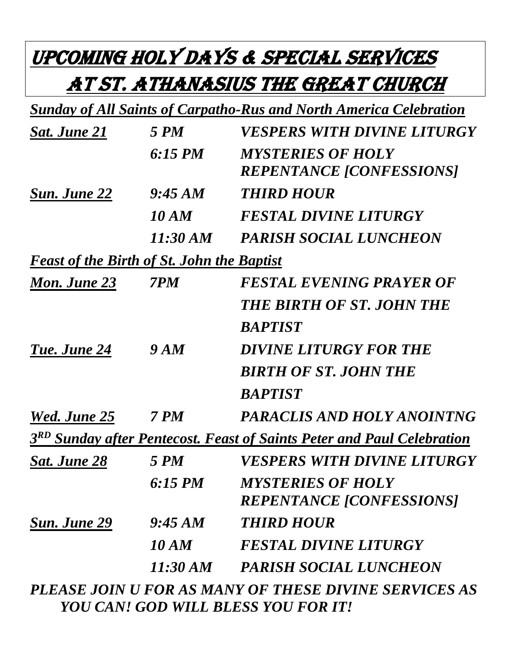# Upcoming Holy Days & Special Services at St. Athanasius the Great Church

|                                                   |              | <b>Sunday of All Saints of Carpatho-Rus and North America Celebration</b>          |
|---------------------------------------------------|--------------|------------------------------------------------------------------------------------|
| Sat. June 21                                      | 5 PM         | <i>VESPERS WITH DIVINE LITURGY</i>                                                 |
|                                                   | $6:15$ PM    | <b>MYSTERIES OF HOLY</b>                                                           |
|                                                   |              | <b>REPENTANCE [CONFESSIONS]</b>                                                    |
| <b>Sun. June 22</b>                               | 9:45 AM      | <b>THIRD HOUR</b>                                                                  |
|                                                   | 10 AM        | <b>FESTAL DIVINE LITURGY</b>                                                       |
|                                                   | 11:30 AM     | <b>PARISH SOCIAL LUNCHEON</b>                                                      |
| <b>Feast of the Birth of St. John the Baptist</b> |              |                                                                                    |
| Mon. June 23                                      | 7PM          | <b>FESTAL EVENING PRAYER OF</b>                                                    |
|                                                   |              | <b>THE BIRTH OF ST. JOHN THE</b>                                                   |
|                                                   |              | <b>BAPTIST</b>                                                                     |
| Tue. June 24                                      | <b>9 AM</b>  | DIVINE LITURGY FOR THE                                                             |
|                                                   |              | <b>BIRTH OF ST. JOHN THE</b>                                                       |
|                                                   |              | <b>BAPTIST</b>                                                                     |
| <b>Wed. June 25</b>                               | <b>7 PM</b>  | PARACLIS AND HOLY ANOINTNG                                                         |
|                                                   |              | 3 <sup>RD</sup> Sunday after Pentecost. Feast of Saints Peter and Paul Celebration |
| <b>Sat. June 28</b>                               | <b>5 PM</b>  | VESPERS WITH DIVINE LITURGY                                                        |
|                                                   | 6:15 PM      | <b>MYSTERIES OF HOLY</b>                                                           |
|                                                   |              | <b>REPENTANCE [CONFESSIONS]</b>                                                    |
| Sun. June 29                                      | 9:45 AM      | <b>THIRD HOUR</b>                                                                  |
|                                                   | <b>10 AM</b> | <b>FESTAL DIVINE LITURGY</b>                                                       |
|                                                   | 11:30 AM     | <b>PARISH SOCIAL LUNCHEON</b>                                                      |
|                                                   |              | PLEASE JOIN U FOR AS MANY OF THESE DIVINE SERVICES AS                              |

*PLEASE JOIN U FOR AS MANY OF THESE DIVINE SERVICES AS YOU CAN! GOD WILL BLESS YOU FOR IT!*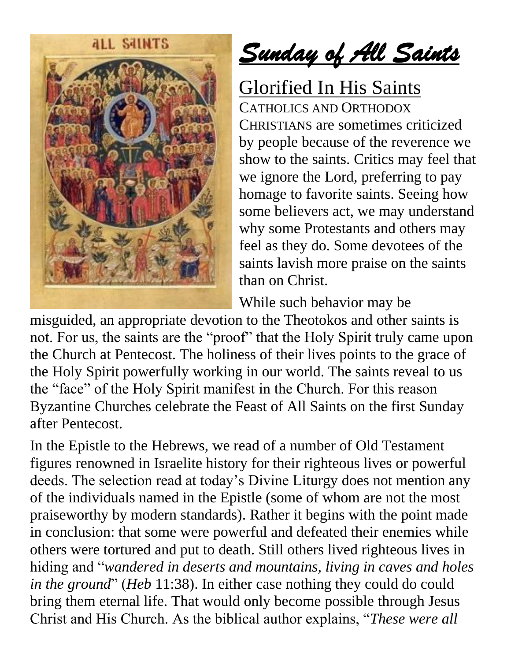

*Sunday of All Saints*

Glorified In His Saints

CATHOLICS AND ORTHODOX CHRISTIANS are sometimes criticized by people because of the reverence we show to the saints. Critics may feel that we ignore the Lord, preferring to pay homage to favorite saints. Seeing how some believers act, we may understand why some Protestants and others may feel as they do. Some devotees of the saints lavish more praise on the saints than on Christ.

While such behavior may be

misguided, an appropriate devotion to the Theotokos and other saints is not. For us, the saints are the "proof" that the Holy Spirit truly came upon the Church at Pentecost. The holiness of their lives points to the grace of the Holy Spirit powerfully working in our world. The saints reveal to us the "face" of the Holy Spirit manifest in the Church. For this reason Byzantine Churches celebrate the Feast of All Saints on the first Sunday after Pentecost.

In the Epistle to the Hebrews, we read of a number of Old Testament figures renowned in Israelite history for their righteous lives or powerful deeds. The selection read at today's Divine Liturgy does not mention any of the individuals named in the Epistle (some of whom are not the most praiseworthy by modern standards). Rather it begins with the point made in conclusion: that some were powerful and defeated their enemies while others were tortured and put to death. Still others lived righteous lives in hiding and "*wandered in deserts and mountains, living in caves and holes in the ground*" (*Heb* 11:38). In either case nothing they could do could bring them eternal life. That would only become possible through Jesus Christ and His Church. As the biblical author explains, "*These were all*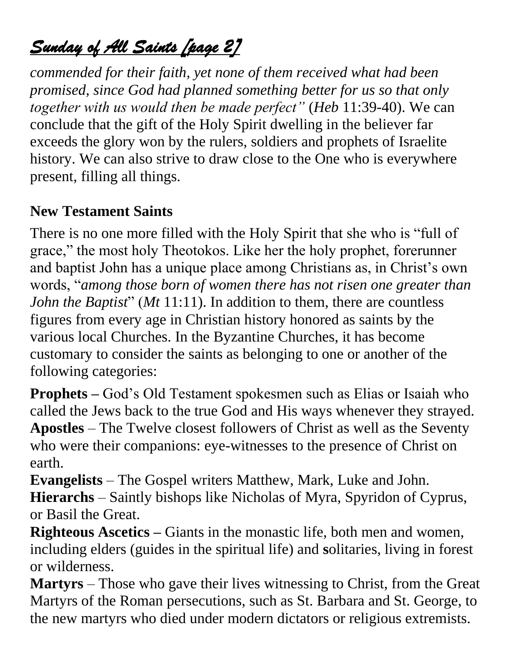### *Sunday of All Saints [page 2]*

*commended for their faith, yet none of them received what had been promised, since God had planned something better for us so that only together with us would then be made perfect"* (*Heb* 11:39-40). We can conclude that the gift of the Holy Spirit dwelling in the believer far exceeds the glory won by the rulers, soldiers and prophets of Israelite history. We can also strive to draw close to the One who is everywhere present, filling all things.

#### **New Testament Saints**

There is no one more filled with the Holy Spirit that she who is "full of grace," the most holy Theotokos. Like her the holy prophet, forerunner and baptist John has a unique place among Christians as, in Christ's own words, "*among those born of women there has not risen one greater than John the Baptist*" (*Mt* 11:11). In addition to them, there are countless figures from every age in Christian history honored as saints by the various local Churches. In the Byzantine Churches, it has become customary to consider the saints as belonging to one or another of the following categories:

**Prophets –** God's Old Testament spokesmen such as Elias or Isaiah who called the Jews back to the true God and His ways whenever they strayed. **Apostles** – The Twelve closest followers of Christ as well as the Seventy who were their companions: eye-witnesses to the presence of Christ on earth.

**Evangelists** – The Gospel writers Matthew, Mark, Luke and John. **Hierarchs** – Saintly bishops like Nicholas of Myra, Spyridon of Cyprus, or Basil the Great.

**Righteous Ascetics –** Giants in the monastic life, both men and women, including elders (guides in the spiritual life) and **s**olitaries, living in forest or wilderness.

**Martyrs** – Those who gave their lives witnessing to Christ, from the Great Martyrs of the Roman persecutions, such as St. Barbara and St. George, to the new martyrs who died under modern dictators or religious extremists.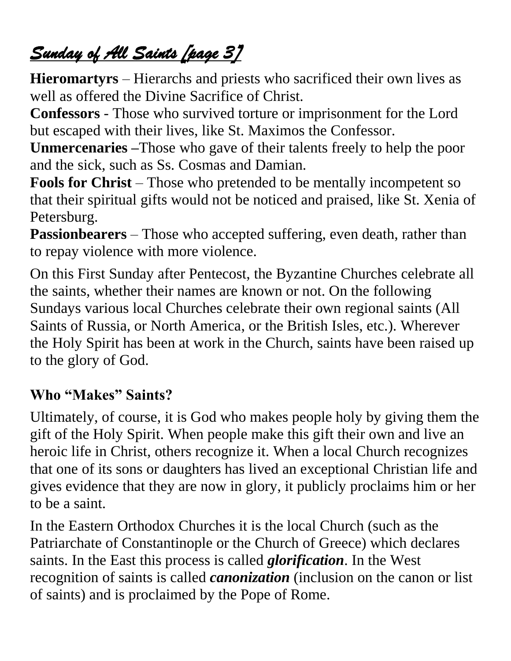## *Sunday of All Saints [page 3]*

**Hieromartyrs** – Hierarchs and priests who sacrificed their own lives as well as offered the Divine Sacrifice of Christ.

**Confessors** - Those who survived torture or imprisonment for the Lord but escaped with their lives, like St. Maximos the Confessor.

**Unmercenaries –**Those who gave of their talents freely to help the poor and the sick, such as Ss. Cosmas and Damian.

**Fools for Christ** – Those who pretended to be mentally incompetent so that their spiritual gifts would not be noticed and praised, like St. Xenia of Petersburg.

**Passionbearers** – Those who accepted suffering, even death, rather than to repay violence with more violence.

On this First Sunday after Pentecost, the Byzantine Churches celebrate all the saints, whether their names are known or not. On the following Sundays various local Churches celebrate their own regional saints (All Saints of Russia, or North America, or the British Isles, etc.). Wherever the Holy Spirit has been at work in the Church, saints have been raised up to the glory of God.

#### **Who "Makes" Saints?**

Ultimately, of course, it is God who makes people holy by giving them the gift of the Holy Spirit. When people make this gift their own and live an heroic life in Christ, others recognize it. When a local Church recognizes that one of its sons or daughters has lived an exceptional Christian life and gives evidence that they are now in glory, it publicly proclaims him or her to be a saint.

In the Eastern Orthodox Churches it is the local Church (such as the Patriarchate of Constantinople or the Church of Greece) which declares saints. In the East this process is called *glorification*. In the West recognition of saints is called *canonization* (inclusion on the canon or list of saints) and is proclaimed by the Pope of Rome.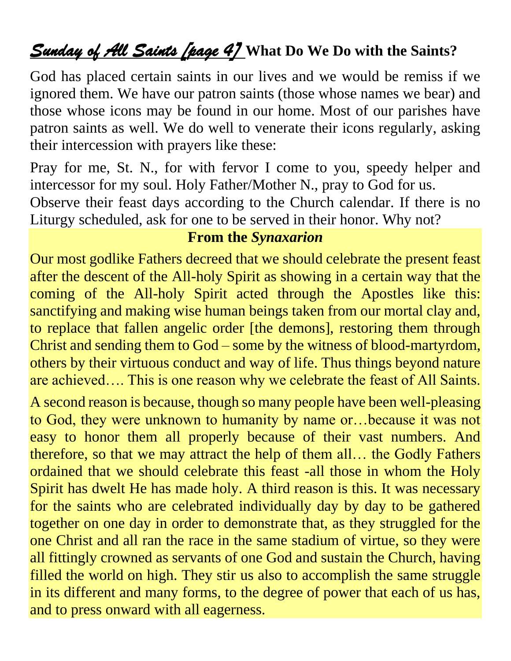### *Sunday of All Saints [page 4]* **What Do We Do with the Saints?**

God has placed certain saints in our lives and we would be remiss if we ignored them. We have our patron saints (those whose names we bear) and those whose icons may be found in our home. Most of our parishes have patron saints as well. We do well to venerate their icons regularly, asking their intercession with prayers like these:

Pray for me, St. N., for with fervor I come to you, speedy helper and intercessor for my soul. Holy Father/Mother N., pray to God for us.

Observe their feast days according to the Church calendar. If there is no Liturgy scheduled, ask for one to be served in their honor. Why not?

#### **From the** *Synaxarion*

Our most godlike Fathers decreed that we should celebrate the present feast after the descent of the All-holy Spirit as showing in a certain way that the coming of the All-holy Spirit acted through the Apostles like this: sanctifying and making wise human beings taken from our mortal clay and, to replace that fallen angelic order [the demons], restoring them through Christ and sending them to God – some by the witness of blood-martyrdom, others by their virtuous conduct and way of life. Thus things beyond nature are achieved…. This is one reason why we celebrate the feast of All Saints.

A second reason is because, though so many people have been well-pleasing to God, they were unknown to humanity by name or…because it was not easy to honor them all properly because of their vast numbers. And therefore, so that we may attract the help of them all… the Godly Fathers ordained that we should celebrate this feast -all those in whom the Holy Spirit has dwelt He has made holy. A third reason is this. It was necessary for the saints who are celebrated individually day by day to be gathered together on one day in order to demonstrate that, as they struggled for the one Christ and all ran the race in the same stadium of virtue, so they were all fittingly crowned as servants of one God and sustain the Church, having filled the world on high. They stir us also to accomplish the same struggle in its different and many forms, to the degree of power that each of us has, and to press onward with all eagerness.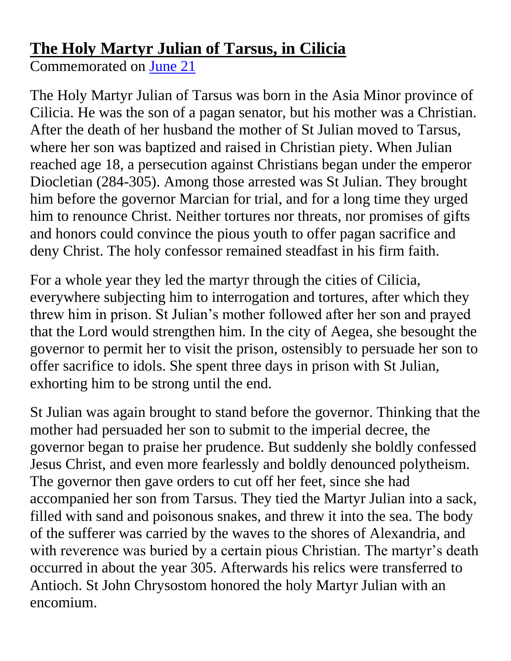### **The Holy Martyr Julian of Tarsus, in Cilicia**

Commemorated on [June 21](http://oca.org/saints/lives/2014/06/21)

The Holy Martyr Julian of Tarsus was born in the Asia Minor province of Cilicia. He was the son of a pagan senator, but his mother was a Christian. After the death of her husband the mother of St Julian moved to Tarsus, where her son was baptized and raised in Christian piety. When Julian reached age 18, a persecution against Christians began under the emperor Diocletian (284-305). Among those arrested was St Julian. They brought him before the governor Marcian for trial, and for a long time they urged him to renounce Christ. Neither tortures nor threats, nor promises of gifts and honors could convince the pious youth to offer pagan sacrifice and deny Christ. The holy confessor remained steadfast in his firm faith.

For a whole year they led the martyr through the cities of Cilicia, everywhere subjecting him to interrogation and tortures, after which they threw him in prison. St Julian's mother followed after her son and prayed that the Lord would strengthen him. In the city of Aegea, she besought the governor to permit her to visit the prison, ostensibly to persuade her son to offer sacrifice to idols. She spent three days in prison with St Julian, exhorting him to be strong until the end.

St Julian was again brought to stand before the governor. Thinking that the mother had persuaded her son to submit to the imperial decree, the governor began to praise her prudence. But suddenly she boldly confessed Jesus Christ, and even more fearlessly and boldly denounced polytheism. The governor then gave orders to cut off her feet, since she had accompanied her son from Tarsus. They tied the Martyr Julian into a sack, filled with sand and poisonous snakes, and threw it into the sea. The body of the sufferer was carried by the waves to the shores of Alexandria, and with reverence was buried by a certain pious Christian. The martyr's death occurred in about the year 305. Afterwards his relics were transferred to Antioch. St John Chrysostom honored the holy Martyr Julian with an encomium.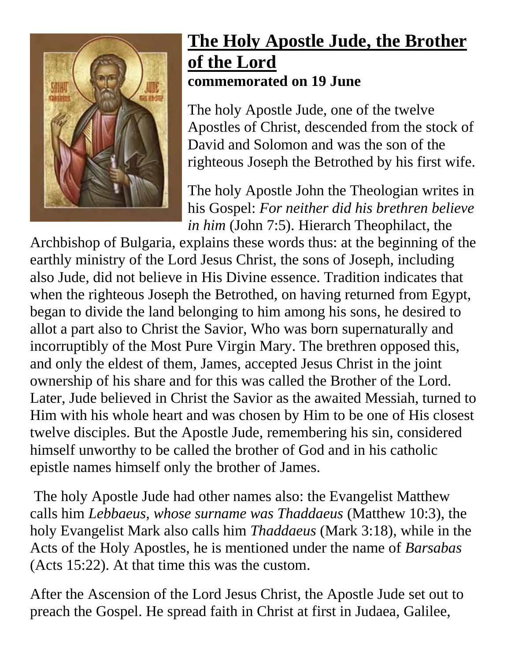

### **The Holy Apostle Jude, the Brother of the Lord commemorated on 19 June**

The holy Apostle Jude, one of the twelve Apostles of Christ, descended from the stock of David and Solomon and was the son of the righteous Joseph the Betrothed by his first wife.

The holy Apostle John the Theologian writes in his Gospel: *For neither did his brethren believe in him* (John 7:5). Hierarch Theophilact, the

Archbishop of Bulgaria, explains these words thus: at the beginning of the earthly ministry of the Lord Jesus Christ, the sons of Joseph, including also Jude, did not believe in His Divine essence. Tradition indicates that when the righteous Joseph the Betrothed, on having returned from Egypt, began to divide the land belonging to him among his sons, he desired to allot a part also to Christ the Savior, Who was born supernaturally and incorruptibly of the Most Pure Virgin Mary. The brethren opposed this, and only the eldest of them, James, accepted Jesus Christ in the joint ownership of his share and for this was called the Brother of the Lord. Later, Jude believed in Christ the Savior as the awaited Messiah, turned to Him with his whole heart and was chosen by Him to be one of His closest twelve disciples. But the Apostle Jude, remembering his sin, considered himself unworthy to be called the brother of God and in his catholic epistle names himself only the brother of James.

The holy Apostle Jude had other names also: the Evangelist Matthew calls him *Lebbaeus, whose surname was Thaddaeus* (Matthew 10:3), the holy Evangelist Mark also calls him *Thaddaeus* (Mark 3:18), while in the Acts of the Holy Apostles, he is mentioned under the name of *Barsabas* (Acts 15:22). At that time this was the custom.

After the Ascension of the Lord Jesus Christ, the Apostle Jude set out to preach the Gospel. He spread faith in Christ at first in Judaea, Galilee,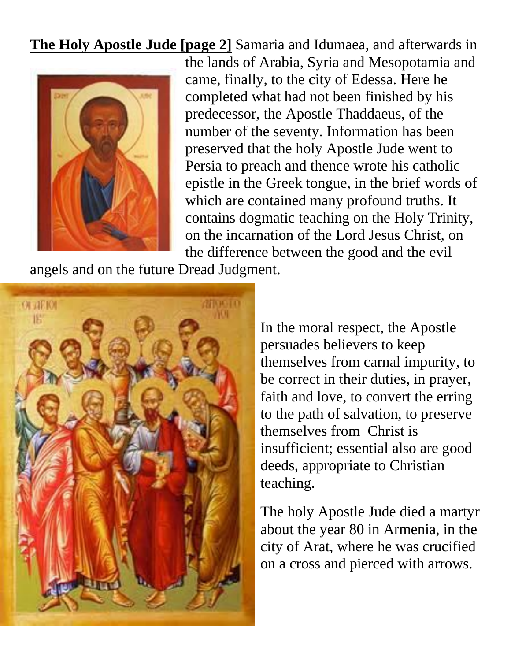**The Holy Apostle Jude [page 2]** Samaria and Idumaea, and afterwards in



the lands of Arabia, Syria and Mesopotamia and came, finally, to the city of Edessa. Here he completed what had not been finished by his predecessor, the Apostle Thaddaeus, of the number of the seventy. Information has been preserved that the holy Apostle Jude went to Persia to preach and thence wrote his catholic epistle in the Greek tongue, in the brief words of which are contained many profound truths. It contains dogmatic teaching on the Holy Trinity, on the incarnation of the Lord Jesus Christ, on the difference between the good and the evil

angels and on the future Dread Judgment.



In the moral respect, the Apostle persuades believers to keep themselves from carnal impurity, to be correct in their duties, in prayer, faith and love, to convert the erring to the path of salvation, to preserve themselves from Christ is insufficient; essential also are good deeds, appropriate to Christian teaching.

The holy Apostle Jude died a martyr about the year 80 in Armenia, in the city of Arat, where he was crucified on a cross and pierced with arrows.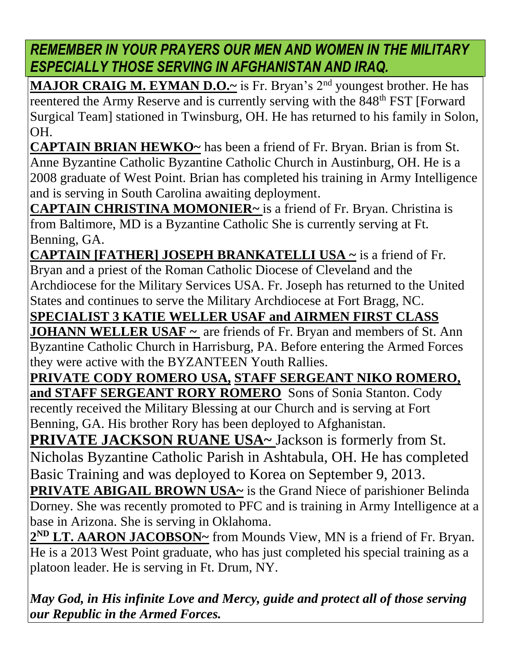*REMEMBER IN YOUR PRAYERS OUR MEN AND WOMEN IN THE MILITARY ESPECIALLY THOSE SERVING IN AFGHANISTAN AND IRAQ.*

**MAJOR CRAIG M. EYMAN D.O.~** is Fr. Bryan's 2<sup>nd</sup> youngest brother. He has reentered the Army Reserve and is currently serving with the 848<sup>th</sup> FST [Forward] Surgical Team] stationed in Twinsburg, OH. He has returned to his family in Solon, OH.

**CAPTAIN BRIAN HEWKO~** has been a friend of Fr. Bryan. Brian is from St. Anne Byzantine Catholic Byzantine Catholic Church in Austinburg, OH. He is a 2008 graduate of West Point. Brian has completed his training in Army Intelligence and is serving in South Carolina awaiting deployment.

**CAPTAIN CHRISTINA MOMONIER~** is a friend of Fr. Bryan. Christina is from Baltimore, MD is a Byzantine Catholic She is currently serving at Ft. Benning, GA.

**CAPTAIN [FATHER] JOSEPH BRANKATELLI USA ~** is a friend of Fr. Bryan and a priest of the Roman Catholic Diocese of Cleveland and the Archdiocese for the Military Services USA. Fr. Joseph has returned to the United States and continues to serve the Military Archdiocese at Fort Bragg, NC.

**SPECIALIST 3 KATIE WELLER USAF and AIRMEN FIRST CLASS** 

**JOHANN WELLER USAF**  $\sim$  are friends of Fr. Bryan and members of St. Ann Byzantine Catholic Church in Harrisburg, PA. Before entering the Armed Forces they were active with the BYZANTEEN Youth Rallies.

**PRIVATE CODY ROMERO USA, STAFF SERGEANT NIKO ROMERO, and STAFF SERGEANT RORY ROMERO** Sons of Sonia Stanton. Cody recently received the Military Blessing at our Church and is serving at Fort Benning, GA. His brother Rory has been deployed to Afghanistan.

**PRIVATE JACKSON RUANE USA~ Jackson is formerly from St.** Nicholas Byzantine Catholic Parish in Ashtabula, OH. He has completed Basic Training and was deployed to Korea on September 9, 2013.

**PRIVATE ABIGAIL BROWN USA~** is the Grand Niece of parishioner Belinda Dorney. She was recently promoted to PFC and is training in Army Intelligence at a base in Arizona. She is serving in Oklahoma.

2<sup>ND</sup> LT. AARON JACOBSON~ from Mounds View, MN is a friend of Fr. Bryan. He is a 2013 West Point graduate, who has just completed his special training as a platoon leader. He is serving in Ft. Drum, NY.

*May God, in His infinite Love and Mercy, guide and protect all of those serving our Republic in the Armed Forces.*